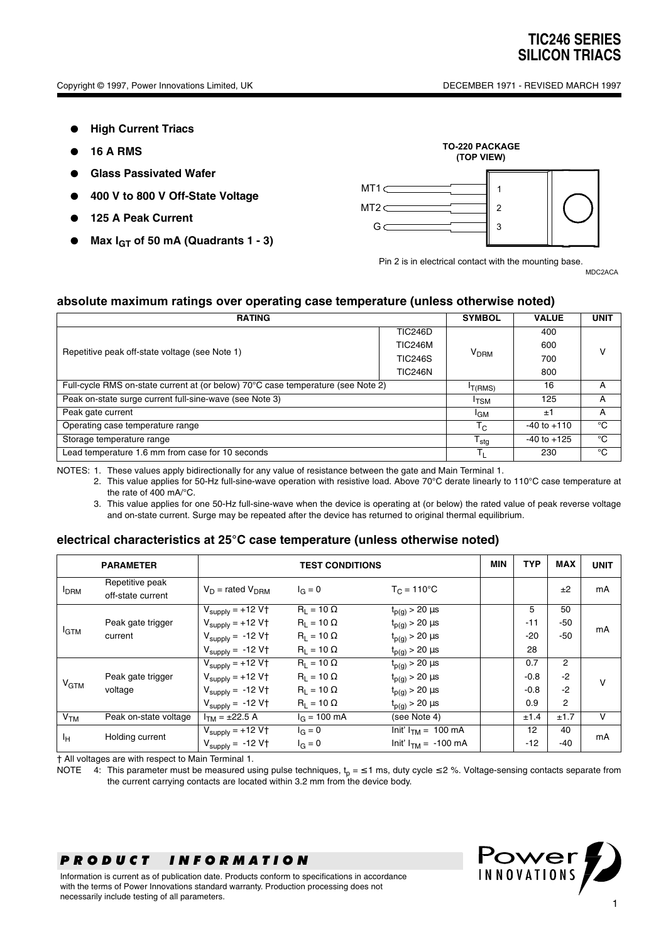- **High Current Triacs**
- **16 A RMS**
- **Glass Passivated Wafer**
- **400 V to 800 V Off-State Voltage**
- **125 A Peak Current**
- **Max I<sub>GT</sub>** of 50 mA (Quadrants 1 3)



Pin 2 is in electrical contact with the mounting base.

MDC2ACA

#### **absolute maximum ratings over operating case temperature (unless otherwise noted)**

| <b>RATING</b>                                                                    |                |                  | <b>VALUE</b>    | <b>UNIT</b> |  |
|----------------------------------------------------------------------------------|----------------|------------------|-----------------|-------------|--|
| Repetitive peak off-state voltage (see Note 1)                                   | <b>TIC246D</b> |                  | 400             |             |  |
|                                                                                  | <b>TIC246M</b> |                  | 600             |             |  |
|                                                                                  | <b>TIC246S</b> | V <sub>DRM</sub> | 700             |             |  |
|                                                                                  | <b>TIC246N</b> |                  | 800             |             |  |
| Full-cycle RMS on-state current at (or below) 70°C case temperature (see Note 2) |                |                  | 16              | А           |  |
| Peak on-state surge current full-sine-wave (see Note 3)                          |                |                  | 125             | А           |  |
| Peak gate current                                                                |                |                  | ±1              | A           |  |
| Operating case temperature range                                                 |                |                  | $-40$ to $+110$ | °C          |  |
| Storage temperature range                                                        |                |                  | $-40$ to $+125$ | °C          |  |
| Lead temperature 1.6 mm from case for 10 seconds                                 |                |                  | 230             | °C          |  |

NOTES: 1. These values apply bidirectionally for any value of resistance between the gate and Main Terminal 1.

- 2. This value applies for 50-Hz full-sine-wave operation with resistive load. Above 70°C derate linearly to 110°C case temperature at the rate of 400 mA/°C.
- 3. This value applies for one 50-Hz full-sine-wave when the device is operating at (or below) the rated value of peak reverse voltage and on-state current. Surge may be repeated after the device has returned to original thermal equilibrium.

#### **electrical characteristics at 25°C case temperature (unless otherwise noted)**

|                        | <b>PARAMETER</b>                     | <b>TEST CONDITIONS</b>                 |                        |                                  | <b>MIN</b> | <b>TYP</b> | <b>MAX</b>     | <b>UNIT</b> |
|------------------------|--------------------------------------|----------------------------------------|------------------------|----------------------------------|------------|------------|----------------|-------------|
| <b>I</b> DRM           | Repetitive peak<br>off-state current | $V_D$ = rated $V_{DBM}$                | $I_G = 0$              | $T_C = 110^{\circ}C$             |            |            | ±2             | mA          |
| <b>I</b> GTM           |                                      | $V_{\text{supply}} = +12 \overline{V}$ | $R_1 = 10 \Omega$      | $t_{p(q)}$ > 20 $\mu s$          |            | 5          | 50             | mA          |
|                        | Peak gate trigger                    | $V_{\text{supply}} = +12 V \uparrow$   | $R_1 = 10 \Omega$      | $t_{p(g)}$ > 20 $\mu$ s          |            | $-11$      | -50            |             |
|                        | current                              | $V_{\text{supply}} = -12 V \uparrow$   | $R_L = 10 \Omega$      | $t_{p(g)}$ > 20 $\mu$ s          |            | $-20$      | -50            |             |
|                        |                                      | $V_{\text{supply}} = -12 V \uparrow$   | $R_1 = 10 \Omega$      | $t_{p(g)}$ > 20 $\mu$ s          |            | 28         |                |             |
| <b>V<sub>GTM</sub></b> |                                      | $V_{\text{supply}} = +12 \text{ V}$    | $R_1 = 10 \Omega$      | $t_{p(g)} > 20 \mu s$            |            | 0.7        | 2              | v           |
|                        | Peak gate trigger                    | $V_{\text{supply}} = +12 V \uparrow$   | $R_1 = 10 \Omega$      | $t_{p(g)}$ > 20 $\mu$ s          |            | $-0.8$     | $-2$           |             |
|                        | voltage                              | $V_{\text{supply}} = -12 \text{ V}$    | $R_1 = 10 \Omega$      | $t_{p(g)}$ > 20 $\mu$ s          |            | $-0.8$     | $-2$           |             |
|                        |                                      | $V_{\text{supply}} = -12 V \uparrow$   | $R_1 = 10 \Omega$      | $t_{p(g)}$ > 20 $\mu$ s          |            | 0.9        | $\overline{2}$ |             |
| V <sub>TM</sub>        | Peak on-state voltage                | $ITM = \pm 22.5 \overline{A}$          | $I_G = 100 \text{ mA}$ | (see Note 4)                     |            | ±1.4       | ±1.7           | v           |
| Iн                     | Holding current                      | $V_{\text{supply}} = +12 V \uparrow$   | $I_G = 0$              | Init' $I_{TM}$ = 100 mA          |            | 12         | 40             | mA          |
|                        |                                      | $V_{\text{supply}} = -12 V \uparrow$   | $I_G = 0$              | $Init' I_{TM} = -100 \text{ mA}$ |            | $-12$      | $-40$          |             |

† All voltages are with respect to Main Terminal 1.

NOTE 4: This parameter must be measured using pulse techniques,  $t_p = \leq 1$  ms, duty cycle  $\leq 2$  %. Voltage-sensing contacts separate from the current carrying contacts are located within 3.2 mm from the device body.

## *PRODUCT INFORMATION*

Information is current as of publication date. Products conform to specifications in accordance with the terms of Power Innovations standard warranty. Production processing does not necessarily include testing of all parameters.

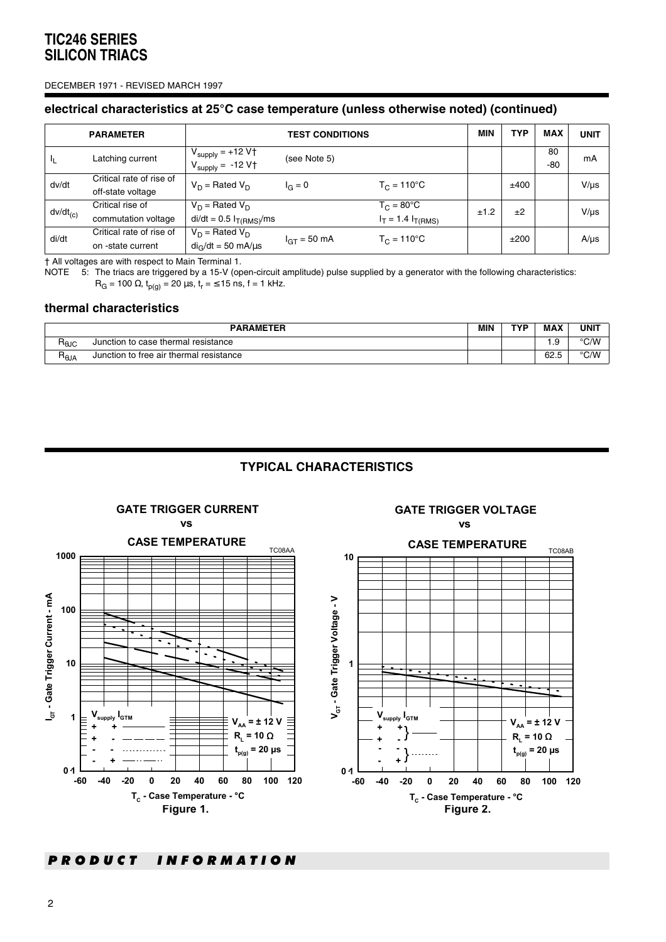#### DECEMBER 1971 - REVISED MARCH 1997

#### **electrical characteristics at 25°C case temperature (unless otherwise noted) (continued)**

|                | <b>PARAMETER</b>                              | <b>TEST CONDITIONS</b>                                                        |                  |                                                     | <b>MIN</b> | TYP  | <b>MAX</b>  | <b>UNIT</b> |
|----------------|-----------------------------------------------|-------------------------------------------------------------------------------|------------------|-----------------------------------------------------|------------|------|-------------|-------------|
| J <sub>L</sub> | Latching current                              | $V_{\text{supply}} = +12 V \uparrow$<br>$V_{\text{supply}} = -12 \text{ V}$ † | (see Note 5)     |                                                     |            |      | 80<br>$-80$ | mA          |
| dv/dt          | Critical rate of rise of<br>off-state voltage | $V_D$ = Rated $V_D$                                                           | $I_G = 0$        | $T_C = 110^{\circ}C$                                |            | ±400 |             | $V/\mu s$   |
| $dv/dt_{(c)}$  | Critical rise of<br>commutation voltage       | $V_D$ = Rated $V_D$<br>$di/dt = 0.5 I_{T(RMS)}/ms$                            |                  | $T_{C}$ = 80 $^{\circ}$ C<br>$I_T = 1.4 I_{T(RMS)}$ | ±1.2       | ±2   |             | $V/\mu s$   |
| di/dt          | Critical rate of rise of<br>on -state current | $V_D$ = Rated $V_D$<br>$di_{\odot}/dt = 50$ mA/us                             | $I_{GT} = 50$ mA | $T_{C} = 110^{\circ}C$                              |            | ±200 |             | $A/\mu s$   |

† All voltages are with respect to Main Terminal 1.

NOTE 5: The triacs are triggered by a 15-V (open-circuit amplitude) pulse supplied by a generator with the following characteristics:  $R_G$  = 100 Ω,  $t_{p(g)}$  = 20 μs,  $t_r$  = ≤ 15 ns, f = 1 kHz.

#### **thermal characteristics**

| <b>PARAMETER</b> |                                         |  | TVP | <b>MAX</b>      | UNIT                          |
|------------------|-----------------------------------------|--|-----|-----------------|-------------------------------|
| ⊓ <sub>θJC</sub> | Junction to case thermal resistance     |  |     | $\sim$<br>. . ت | $^{\circ}$ C/M<br><b>UIVV</b> |
| ¬്⊎A             | Junction to free air thermal resistance |  |     | 62.5            | $^{\circ}$ C/M<br>◡៸៴៴        |

## **TYPICAL CHARACTERISTICS**

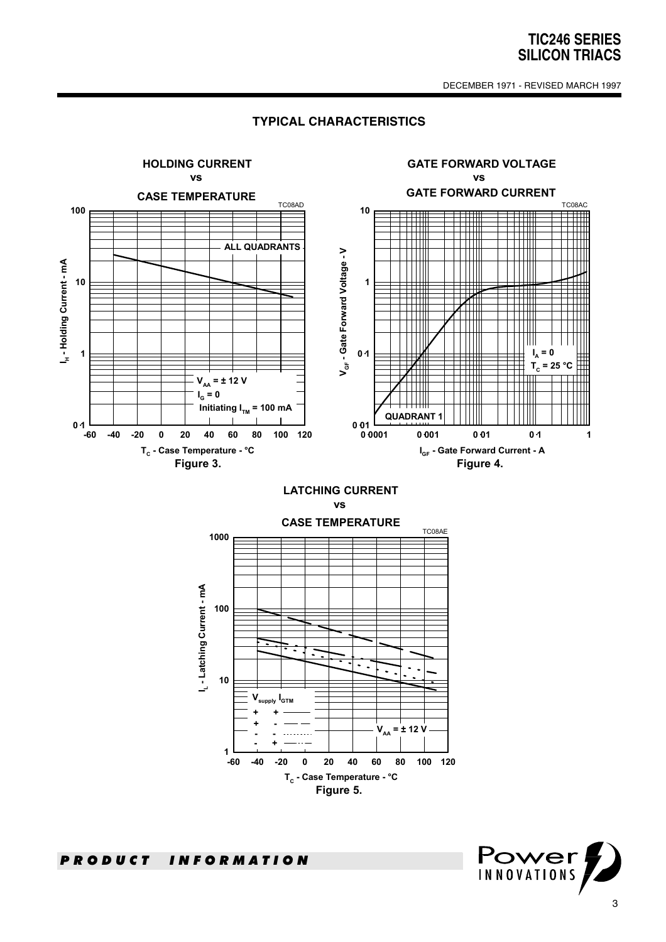DECEMBER 1971 - REVISED MARCH 1997

#### **TYPICAL CHARACTERISTICS**



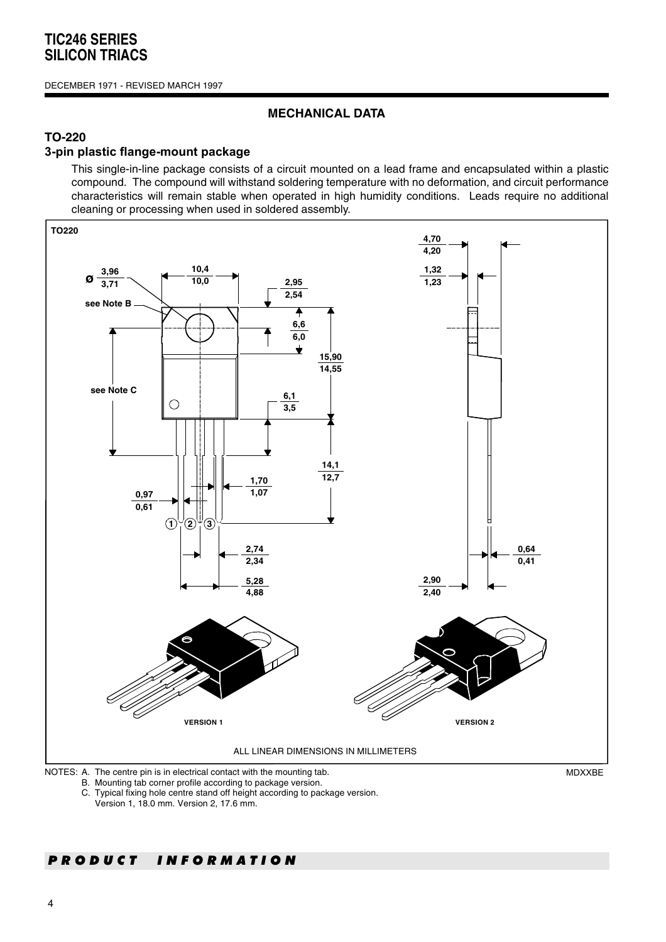#### DECEMBER 1971 - REVISED MARCH 1997

### **MECHANICAL DATA**

## **TO-220**

### **3-pin plastic flange-mount package**

This single-in-line package consists of a circuit mounted on a lead frame and encapsulated within a plastic compound. The compound will withstand soldering temperature with no deformation, and circuit performance characteristics will remain stable when operated in high humidity conditions. Leads require no additional cleaning or processing when used in soldered assembly.



B. Mounting tab corner profile according to package version.

C. Typical fixing hole centre stand off height according to package version.

Version 1, 18.0 mm. Version 2, 17.6 mm.